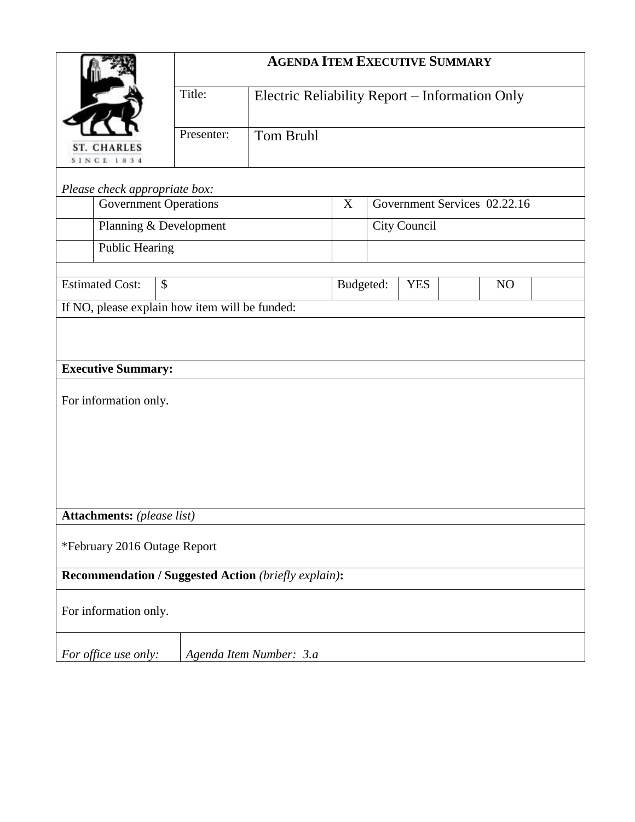|                                                      | <b>AGENDA ITEM EXECUTIVE SUMMARY</b> |                                                |  |                              |    |  |  |  |  |  |
|------------------------------------------------------|--------------------------------------|------------------------------------------------|--|------------------------------|----|--|--|--|--|--|
|                                                      | Title:                               | Electric Reliability Report - Information Only |  |                              |    |  |  |  |  |  |
| <b>ST. CHARLES</b><br><b>SINCE 1834</b>              | Presenter:                           | Tom Bruhl                                      |  |                              |    |  |  |  |  |  |
| Please check appropriate box:                        |                                      |                                                |  |                              |    |  |  |  |  |  |
| <b>Government Operations</b>                         |                                      |                                                |  | Government Services 02.22.16 |    |  |  |  |  |  |
| Planning & Development                               |                                      |                                                |  | City Council                 |    |  |  |  |  |  |
| <b>Public Hearing</b>                                |                                      |                                                |  |                              |    |  |  |  |  |  |
| <b>Estimated Cost:</b><br>\$                         |                                      | Budgeted:                                      |  | <b>YES</b>                   | NO |  |  |  |  |  |
| If NO, please explain how item will be funded:       |                                      |                                                |  |                              |    |  |  |  |  |  |
|                                                      |                                      |                                                |  |                              |    |  |  |  |  |  |
| <b>Executive Summary:</b>                            |                                      |                                                |  |                              |    |  |  |  |  |  |
| For information only.                                |                                      |                                                |  |                              |    |  |  |  |  |  |
|                                                      |                                      |                                                |  |                              |    |  |  |  |  |  |
|                                                      |                                      |                                                |  |                              |    |  |  |  |  |  |
|                                                      |                                      |                                                |  |                              |    |  |  |  |  |  |
|                                                      |                                      |                                                |  |                              |    |  |  |  |  |  |
| Attachments: (please list)                           |                                      |                                                |  |                              |    |  |  |  |  |  |
| *February 2016 Outage Report                         |                                      |                                                |  |                              |    |  |  |  |  |  |
| Recommendation / Suggested Action (briefly explain): |                                      |                                                |  |                              |    |  |  |  |  |  |
| For information only.                                |                                      |                                                |  |                              |    |  |  |  |  |  |
| For office use only:                                 |                                      | Agenda Item Number: 3.a                        |  |                              |    |  |  |  |  |  |